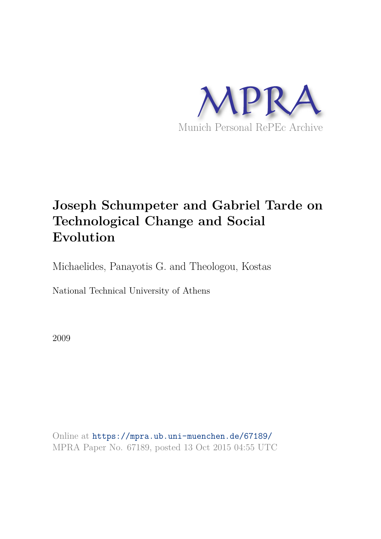

## **Joseph Schumpeter and Gabriel Tarde on Technological Change and Social Evolution**

Michaelides, Panayotis G. and Theologou, Kostas

National Technical University of Athens

2009

Online at https://mpra.ub.uni-muenchen.de/67189/ MPRA Paper No. 67189, posted 13 Oct 2015 04:55 UTC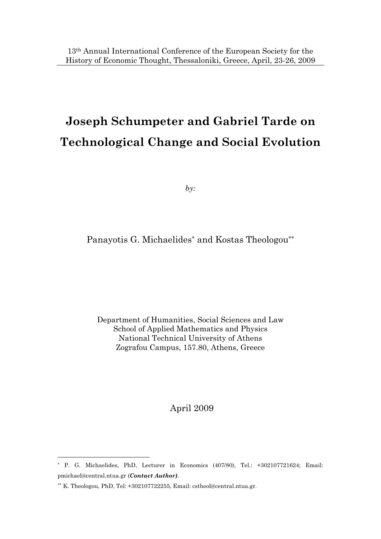# **Joseph Schumpeter and Gabriel Tarde on Technological Change and Social Evolution**

*by:* 

### Panayotis G. Michaelides\* and Kostas Theologou\*\*

Department of Humanities, Social Sciences and Law School of Applied Mathematics and Physics National Technical University of Athens Zografou Campus, 157.80, Athens, Greece

### April 2009

<sup>\*</sup> P. G. Michaelides, PhD, Lecturer in Economics (407/80), Tel.: +302107721624; Email: pmichael@central.ntua.gr (*Contact Author)*.

<sup>\*\*</sup> K. Theologou, PhD, Tel: +302107722255, Email: cstheol@central.ntua.gr.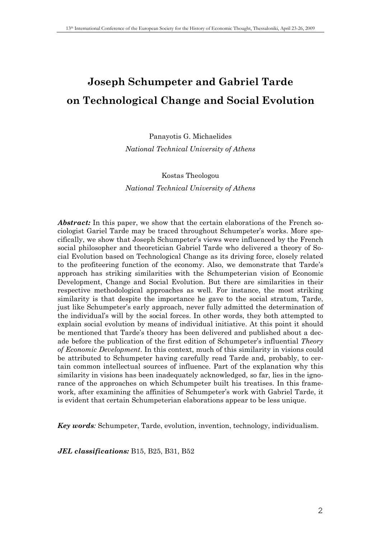## **Joseph Schumpeter and Gabriel Tarde on Technological Change and Social Evolution**

## Panayotis G. Michaelides *National Technical University of Athens*

### Kostas Theologou *National Technical University of Athens*

*Abstract:* In this paper, we show that the certain elaborations of the French sociologist Gariel Tarde may be traced throughout Schumpeter's works. More specifically, we show that Joseph Schumpeter's views were influenced by the French social philosopher and theoretician Gabriel Tarde who delivered a theory of Social Evolution based on Technological Change as its driving force, closely related to the profiteering function of the economy. Also, we demonstrate that Tarde's approach has striking similarities with the Schumpeterian vision of Economic Development, Change and Social Evolution. But there are similarities in their respective methodological approaches as well. For instance, the most striking similarity is that despite the importance he gave to the social stratum, Tarde, just like Schumpeter's early approach, never fully admitted the determination of the individual's will by the social forces. In other words, they both attempted to explain social evolution by means of individual initiative. At this point it should be mentioned that Tarde's theory has been delivered and published about a decade before the publication of the first edition of Schumpeter's influential *Theory of Economic Development*. In this context, much of this similarity in visions could be attributed to Schumpeter having carefully read Tarde and, probably, to certain common intellectual sources of influence. Part of the explanation why this similarity in visions has been inadequately acknowledged, so far, lies in the ignorance of the approaches on which Schumpeter built his treatises. In this framework, after examining the affinities of Schumpeter's work with Gabriel Tarde, it is evident that certain Schumpeterian elaborations appear to be less unique.

*Key words:* Schumpeter, Tarde, evolution, invention, technology, individualism.

*JEL classifications:* B15, B25, B31, B52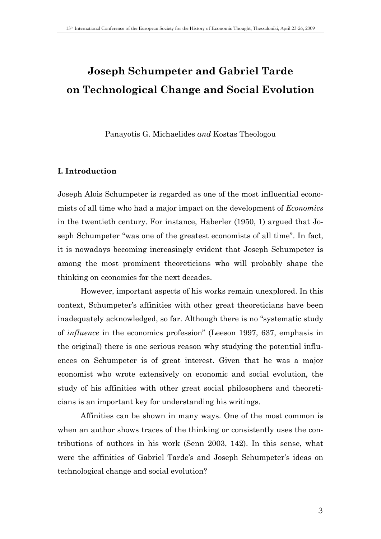## **Joseph Schumpeter and Gabriel Tarde on Technological Change and Social Evolution**

Panayotis G. Michaelides *and* Kostas Theologou

### **I. Introduction**

Joseph Alois Schumpeter is regarded as one of the most influential economists of all time who had a major impact on the development of *Economics* in the twentieth century. For instance, Haberler (1950, 1) argued that Joseph Schumpeter "was one of the greatest economists of all time". In fact, it is nowadays becoming increasingly evident that Joseph Schumpeter is among the most prominent theoreticians who will probably shape the thinking on economics for the next decades.

However, important aspects of his works remain unexplored. In this context, Schumpeter's affinities with other great theoreticians have been inadequately acknowledged, so far. Although there is no "systematic study of *influence* in the economics profession" (Leeson 1997, 637, emphasis in the original) there is one serious reason why studying the potential influences on Schumpeter is of great interest. Given that he was a major economist who wrote extensively on economic and social evolution, the study of his affinities with other great social philosophers and theoreticians is an important key for understanding his writings.

Affinities can be shown in many ways. One of the most common is when an author shows traces of the thinking or consistently uses the contributions of authors in his work (Senn 2003, 142). In this sense, what were the affinities of Gabriel Tarde's and Joseph Schumpeter's ideas on technological change and social evolution?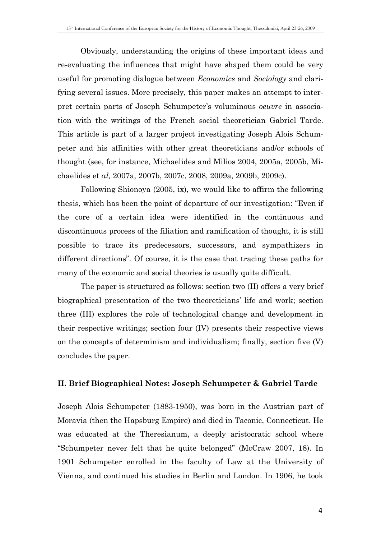Obviously, understanding the origins of these important ideas and re-evaluating the influences that might have shaped them could be very useful for promoting dialogue between *Economics* and *Sociology* and clarifying several issues. More precisely, this paper makes an attempt to interpret certain parts of Joseph Schumpeter's voluminous *oeuvre* in association with the writings of the French social theoretician Gabriel Tarde. This article is part of a larger project investigating Joseph Alois Schumpeter and his affinities with other great theoreticians and/or schools of thought (see, for instance, Michaelides and Milios 2004, 2005a, 2005b, Michaelides et *al,* 2007a, 2007b, 2007c, 2008, 2009a, 2009b, 2009c).

Following Shionoya (2005, ix), we would like to affirm the following thesis, which has been the point of departure of our investigation: "Even if the core of a certain idea were identified in the continuous and discontinuous process of the filiation and ramification of thought, it is still possible to trace its predecessors, successors, and sympathizers in different directions". Of course, it is the case that tracing these paths for many of the economic and social theories is usually quite difficult.

The paper is structured as follows: section two (II) offers a very brief biographical presentation of the two theoreticians' life and work; section three (III) explores the role of technological change and development in their respective writings; section four (IV) presents their respective views on the concepts of determinism and individualism; finally, section five (V) concludes the paper.

### **II. Brief Biographical Notes: Joseph Schumpeter & Gabriel Tarde**

Joseph Alois Schumpeter (1883-1950), was born in the Austrian part of Moravia (then the Hapsburg Empire) and died in Taconic, Connecticut. He was educated at the Theresianum, a deeply aristocratic school where "Schumpeter never felt that he quite belonged" (McCraw 2007, 18). In 1901 Schumpeter enrolled in the faculty of Law at the University of Vienna, and continued his studies in Berlin and London. In 1906, he took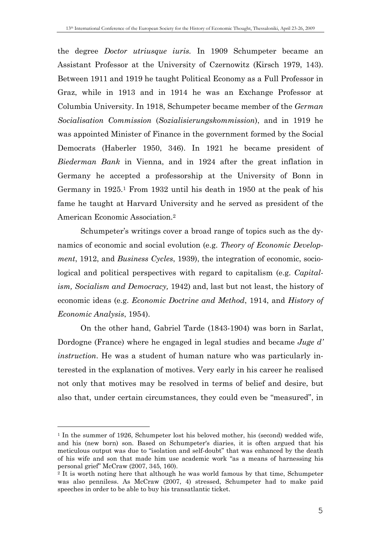the degree *Doctor utriusque iuris.* In 1909 Schumpeter became an Assistant Professor at the University of Czernowitz (Kirsch 1979, 143). Between 1911 and 1919 he taught Political Economy as a Full Professor in Graz, while in 1913 and in 1914 he was an Exchange Professor at Columbia University. In 1918, Schumpeter became member of the *German Socialisation Commission* (*Sozialisierungskommission*), and in 1919 he was appointed Minister of Finance in the government formed by the Social Democrats (Haberler 1950, 346). In 1921 he became president of *Biederman Bank* in Vienna, and in 1924 after the great inflation in Germany he accepted a professorship at the University of Bonn in Germany in 1925.1 From 1932 until his death in 1950 at the peak of his fame he taught at Harvard University and he served as president of the American Economic Association.<sup>2</sup>

Schumpeter's writings cover a broad range of topics such as the dynamics of economic and social evolution (e.g. *Theory of Economic Development*, 1912, and *Business Cycles*, 1939), the integration of economic, sociological and political perspectives with regard to capitalism (e.g. *Capitalism, Socialism and Democracy,* 1942) and, last but not least, the history of economic ideas (e.g. *Economic Doctrine and Method*, 1914, and *History of Economic Analysis*, 1954).

On the other hand, Gabriel Tarde (1843-1904) was born in Sarlat, Dordogne (France) where he engaged in legal studies and became *Juge d' instruction*. He was a student of human nature who was particularly interested in the explanation of motives. Very early in his career he realised not only that motives may be resolved in terms of belief and desire, but also that, under certain circumstances, they could even be "measured", in

<sup>&</sup>lt;sup>1</sup> In the summer of 1926, Schumpeter lost his beloved mother, his (second) wedded wife, and his (new born) son. Based on Schumpeter's diaries, it is often argued that his meticulous output was due to "isolation and self-doubt" that was enhanced by the death of his wife and son that made him use academic work "as a means of harnessing his personal grief" McCraw (2007, 345, 160).

<sup>2</sup> It is worth noting here that although he was world famous by that time, Schumpeter was also penniless. As McCraw (2007, 4) stressed, Schumpeter had to make paid speeches in order to be able to buy his transatlantic ticket.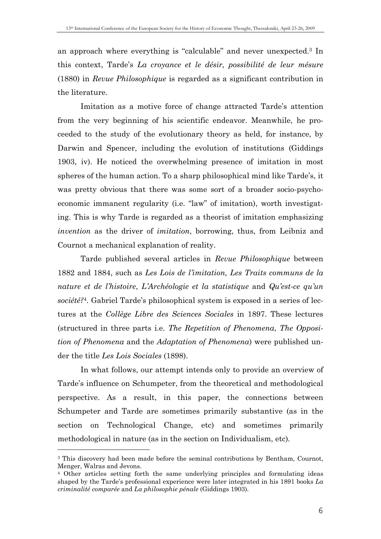an approach where everything is "calculable" and never unexpected.3 In this context, Tarde's *La croyance et le désir, possibilité de leur mésure* (1880) in *Revue Philosophique* is regarded as a significant contribution in the literature.

Imitation as a motive force of change attracted Tarde's attention from the very beginning of his scientific endeavor. Meanwhile, he proceeded to the study of the evolutionary theory as held, for instance, by Darwin and Spencer, including the evolution of institutions (Giddings 1903, iv). He noticed the overwhelming presence of imitation in most spheres of the human action. To a sharp philosophical mind like Tarde's, it was pretty obvious that there was some sort of a broader socio-psychoeconomic immanent regularity (i.e. "law" of imitation), worth investigating. This is why Tarde is regarded as a theorist of imitation emphasizing *invention* as the driver of *imitation*, borrowing, thus, from Leibniz and Cournot a mechanical explanation of reality.

Tarde published several articles in *Revue Philosophique* between 1882 and 1884, such as *Les Lois de l'imitation, Les Traits communs de la nature et de l'histoire*, *L'Archéologie et la statistique* and *Qu'est-ce qu'un société?*4*.* Gabriel Tarde's philosophical system is exposed in a series of lectures at the *Collège Libre des Sciences Sociales* in 1897. These lectures (structured in three parts i.e. *The Repetition of Phenomena*, *The Opposition of Phenomena* and the *Adaptation of Phenomena*) were published under the title *Les Lois Sociales* (1898).

In what follows, our attempt intends only to provide an overview of Tarde's influence on Schumpeter, from the theoretical and methodological perspective. As a result, in this paper, the connections between Schumpeter and Tarde are sometimes primarily substantive (as in the section on Technological Change, etc) and sometimes primarily methodological in nature (as in the section on Individualism, etc)*.*   $\overline{a}$ 

<sup>&</sup>lt;sup>3</sup> This discovery had been made before the seminal contributions by Bentham, Cournot, Menger, Walras and Jevons.

<sup>4</sup> Other articles setting forth the same underlying principles and formulating ideas shaped by the Tarde's professional experience were later integrated in his 1891 books *La criminalité comparée* and *La philosophie pénale* (Giddings 1903).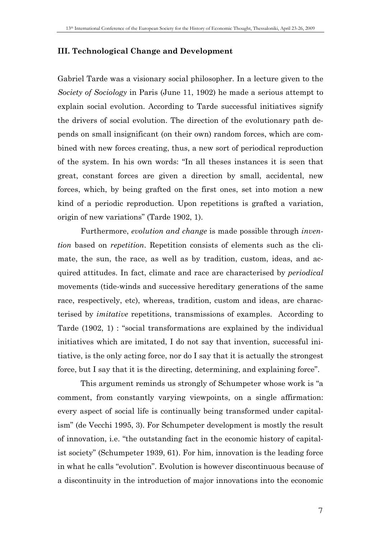#### **III. Technological Change and Development**

Gabriel Tarde was a visionary social philosopher. In a lecture given to the *Society of Sociology* in Paris (June 11, 1902) he made a serious attempt to explain social evolution. According to Tarde successful initiatives signify the drivers of social evolution. The direction of the evolutionary path depends on small insignificant (on their own) random forces, which are combined with new forces creating, thus, a new sort of periodical reproduction of the system. In his own words: "In all theses instances it is seen that great, constant forces are given a direction by small, accidental, new forces, which, by being grafted on the first ones, set into motion a new kind of a periodic reproduction. Upon repetitions is grafted a variation, origin of new variations" (Tarde 1902, 1).

Furthermore, *evolution and change* is made possible through *invention* based on *repetition*. Repetition consists of elements such as the climate, the sun, the race, as well as by tradition, custom, ideas, and acquired attitudes. In fact, climate and race are characterised by *periodical*  movements (tide-winds and successive hereditary generations of the same race, respectively, etc), whereas, tradition, custom and ideas, are characterised by *imitative* repetitions, transmissions of examples. According to Tarde (1902, 1) : "social transformations are explained by the individual initiatives which are imitated, I do not say that invention, successful initiative, is the only acting force, nor do I say that it is actually the strongest force, but I say that it is the directing, determining, and explaining force".

This argument reminds us strongly of Schumpeter whose work is "a comment, from constantly varying viewpoints, on a single affirmation: every aspect of social life is continually being transformed under capitalism" (de Vecchi 1995, 3). For Schumpeter development is mostly the result of innovation, i.e. "the outstanding fact in the economic history of capitalist society" (Schumpeter 1939, 61). For him, innovation is the leading force in what he calls "evolution". Evolution is however discontinuous because of a discontinuity in the introduction of major innovations into the economic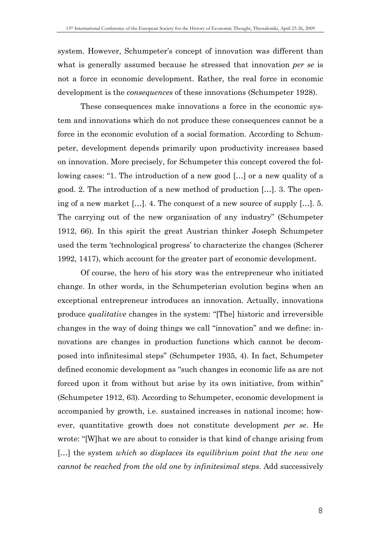system. However, Schumpeter's concept of innovation was different than what is generally assumed because he stressed that innovation *per se* is not a force in economic development. Rather, the real force in economic development is the *consequences* of these innovations (Schumpeter 1928).

These consequences make innovations a force in the economic system and innovations which do not produce these consequences cannot be a force in the economic evolution of a social formation. According to Schumpeter, development depends primarily upon productivity increases based on innovation. More precisely, for Schumpeter this concept covered the following cases: "1. The introduction of a new good […] or a new quality of a good. 2. The introduction of a new method of production […]. 3. The opening of a new market […]. 4. The conquest of a new source of supply […]. 5. The carrying out of the new organisation of any industry" (Schumpeter 1912, 66). In this spirit the great Austrian thinker Joseph Schumpeter used the term 'technological progress' to characterize the changes (Scherer 1992, 1417), which account for the greater part of economic development.

Of course, the hero of his story was the entrepreneur who initiated change. In other words, in the Schumpeterian evolution begins when an exceptional entrepreneur introduces an innovation. Actually, innovations produce *qualitative* changes in the system: "[The] historic and irreversible changes in the way of doing things we call "innovation" and we define: innovations are changes in production functions which cannot be decomposed into infinitesimal steps" (Schumpeter 1935, 4). In fact, Schumpeter defined economic development as "such changes in economic life as are not forced upon it from without but arise by its own initiative, from within" (Schumpeter 1912, 63). According to Schumpeter, economic development is accompanied by growth, i.e. sustained increases in national income; however, quantitative growth does not constitute development *per se*. He wrote: "[W]hat we are about to consider is that kind of change arising from [...] the system *which* so *displaces its equilibrium point that the new one cannot be reached from the old one by infinitesimal steps*. Add successively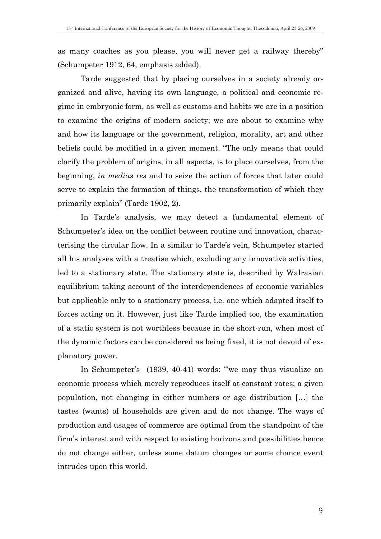as many coaches as you please, you will never get a railway thereby" (Schumpeter 1912, 64, emphasis added).

Tarde suggested that by placing ourselves in a society already organized and alive, having its own language, a political and economic regime in embryonic form, as well as customs and habits we are in a position to examine the origins of modern society; we are about to examine why and how its language or the government, religion, morality, art and other beliefs could be modified in a given moment. "The only means that could clarify the problem of origins, in all aspects, is to place ourselves, from the beginning, *in medias res* and to seize the action of forces that later could serve to explain the formation of things, the transformation of which they primarily explain" (Tarde 1902, 2).

In Tarde's analysis, we may detect a fundamental element of Schumpeter's idea on the conflict between routine and innovation, characterising the circular flow. In a similar to Tarde's vein, Schumpeter started all his analyses with a treatise which, excluding any innovative activities, led to a stationary state. The stationary state is, described by Walrasian equilibrium taking account of the interdependences of economic variables but applicable only to a stationary process, i.e. one which adapted itself to forces acting on it. However, just like Tarde implied too, the examination of a static system is not worthless because in the short-run, when most of the dynamic factors can be considered as being fixed, it is not devoid of explanatory power.

In Schumpeter's (1939, 40-41) words: "we may thus visualize an economic process which merely reproduces itself at constant rates; a given population, not changing in either numbers or age distribution […] the tastes (wants) of households are given and do not change. The ways of production and usages of commerce are optimal from the standpoint of the firm's interest and with respect to existing horizons and possibilities hence do not change either, unless some datum changes or some chance event intrudes upon this world.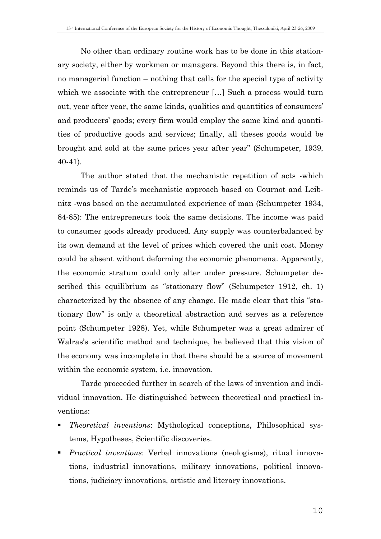No other than ordinary routine work has to be done in this stationary society, either by workmen or managers. Beyond this there is, in fact, no managerial function – nothing that calls for the special type of activity which we associate with the entrepreneur […] Such a process would turn out, year after year, the same kinds, qualities and quantities of consumers' and producers' goods; every firm would employ the same kind and quantities of productive goods and services; finally, all theses goods would be brought and sold at the same prices year after year" (Schumpeter, 1939, 40-41).

The author stated that the mechanistic repetition of acts -which reminds us of Tarde's mechanistic approach based on Cournot and Leibnitz -was based on the accumulated experience of man (Schumpeter 1934, 84-85): The entrepreneurs took the same decisions. The income was paid to consumer goods already produced. Any supply was counterbalanced by its own demand at the level of prices which covered the unit cost. Money could be absent without deforming the economic phenomena. Apparently, the economic stratum could only alter under pressure. Schumpeter described this equilibrium as "stationary flow" (Schumpeter 1912, ch. 1) characterized by the absence of any change. He made clear that this "stationary flow" is only a theoretical abstraction and serves as a reference point (Schumpeter 1928). Yet, while Schumpeter was a great admirer of Walras's scientific method and technique, he believed that this vision of the economy was incomplete in that there should be a source of movement within the economic system, i.e. innovation.

Tarde proceeded further in search of the laws of invention and individual innovation. He distinguished between theoretical and practical inventions:

- *Theoretical inventions*: Mythological conceptions, Philosophical systems, Hypotheses, Scientific discoveries.
- *Practical inventions*: Verbal innovations (neologisms), ritual innovations, industrial innovations, military innovations, political innovations, judiciary innovations, artistic and literary innovations.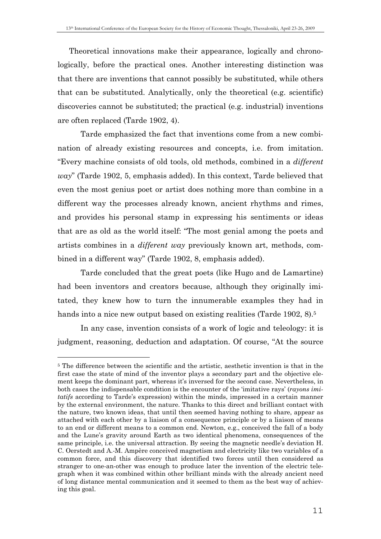Theoretical innovations make their appearance, logically and chronologically, before the practical ones. Another interesting distinction was that there are inventions that cannot possibly be substituted, while others that can be substituted. Analytically, only the theoretical (e.g. scientific) discoveries cannot be substituted; the practical (e.g. industrial) inventions are often replaced (Tarde 1902, 4).

Tarde emphasized the fact that inventions come from a new combination of already existing resources and concepts, i.e. from imitation. "Every machine consists of old tools, old methods, combined in a *different way*" (Tarde 1902, 5, emphasis added). In this context, Tarde believed that even the most genius poet or artist does nothing more than combine in a different way the processes already known, ancient rhythms and rimes, and provides his personal stamp in expressing his sentiments or ideas that are as old as the world itself: "The most genial among the poets and artists combines in a *different way* previously known art, methods, combined in a different way" (Tarde 1902, 8, emphasis added).

 Tarde concluded that the great poets (like Hugo and de Lamartine) had been inventors and creators because, although they originally imitated, they knew how to turn the innumerable examples they had in hands into a nice new output based on existing realities (Tarde 1902, 8).<sup>5</sup>

In any case, invention consists of a work of logic and teleology: it is judgment, reasoning, deduction and adaptation. Of course, "At the source

 $\overline{\phantom{0}}$ 

<sup>&</sup>lt;sup>5</sup> The difference between the scientific and the artistic, aesthetic invention is that in the first case the state of mind of the inventor plays a secondary part and the objective element keeps the dominant part, whereas it's inversed for the second case. Nevertheless, in both cases the indispensable condition is the encounter of the 'imitative rays' (*rayons imitatifs* according to Tarde's expression) within the minds, impressed in a certain manner by the external environment, the nature. Thanks to this direct and brilliant contact with the nature, two known ideas, that until then seemed having nothing to share, appear as attached with each other by a liaison of a consequence principle or by a liaison of means to an end or different means to a common end. Newton, e.g., conceived the fall of a body and the Lune's gravity around Earth as two identical phenomena, consequences of the same principle, i.e. the universal attraction. By seeing the magnetic needle's deviation H. C. Oerstedt and A.-M. Ampère conceived magnetism and electricity like two variables of a common force, and this discovery that identified two forces until then considered as stranger to one-an-other was enough to produce later the invention of the electric telegraph when it was combined within other brilliant minds with the already ancient need of long distance mental communication and it seemed to them as the best way of achieving this goal.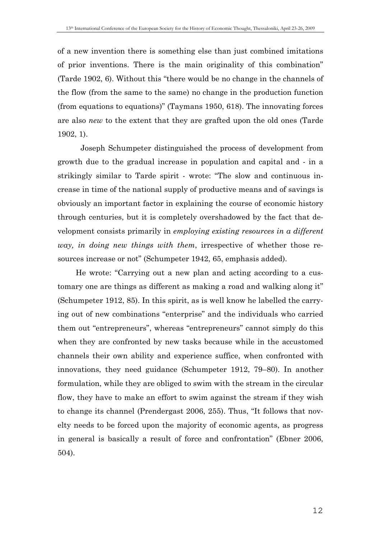of a new invention there is something else than just combined imitations of prior inventions. There is the main originality of this combination" (Tarde 1902, 6). Without this "there would be no change in the channels of the flow (from the same to the same) no change in the production function (from equations to equations)" (Taymans 1950, 618). The innovating forces are also *new* to the extent that they are grafted upon the old ones (Tarde 1902, 1).

Joseph Schumpeter distinguished the process of development from growth due to the gradual increase in population and capital and - in a strikingly similar to Tarde spirit - wrote: "The slow and continuous increase in time of the national supply of productive means and of savings is obviously an important factor in explaining the course of economic history through centuries, but it is completely overshadowed by the fact that development consists primarily in *employing existing resources in a different way, in doing new things with them*, irrespective of whether those resources increase or not" (Schumpeter 1942, 65, emphasis added).

He wrote: "Carrying out a new plan and acting according to a customary one are things as different as making a road and walking along it" (Schumpeter 1912, 85). In this spirit, as is well know he labelled the carrying out of new combinations "enterprise" and the individuals who carried them out "entrepreneurs", whereas "entrepreneurs" cannot simply do this when they are confronted by new tasks because while in the accustomed channels their own ability and experience suffice, when confronted with innovations, they need guidance (Schumpeter 1912, 79–80). In another formulation, while they are obliged to swim with the stream in the circular flow, they have to make an effort to swim against the stream if they wish to change its channel (Prendergast 2006, 255). Thus, "It follows that novelty needs to be forced upon the majority of economic agents, as progress in general is basically a result of force and confrontation" (Ebner 2006, 504).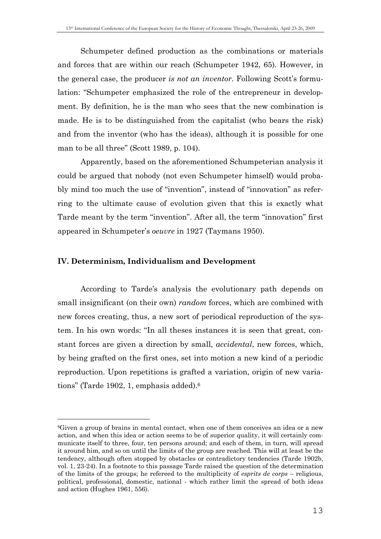Schumpeter defined production as the combinations or materials and forces that are within our reach (Schumpeter 1942, 65). However, in the general case, the producer *is not an inventor*. Following Scott's formulation: "Schumpeter emphasized the role of the entrepreneur in development. By definition, he is the man who sees that the new combination is made. He is to be distinguished from the capitalist (who bears the risk) and from the inventor (who has the ideas), although it is possible for one man to be all three" (Scott 1989, p. 104).

Apparently, based on the aforementioned Schumpeterian analysis it could be argued that nobody (not even Schumpeter himself) would probably mind too much the use of "invention", instead of "innovation" as referring to the ultimate cause of evolution given that this is exactly what Tarde meant by the term "invention". After all, the term "innovation" first appeared in Schumpeter's *oeuvre* in 1927 (Taymans 1950).

#### **IV. Determinism, Individualism and Development**

 $\overline{a}$ 

According to Tarde's analysis the evolutionary path depends on small insignificant (on their own) *random* forces, which are combined with new forces creating, thus, a new sort of periodical reproduction of the system. In his own words: "In all theses instances it is seen that great, constant forces are given a direction by small, *accidental*, new forces, which, by being grafted on the first ones, set into motion a new kind of a periodic reproduction. Upon repetitions is grafted a variation, origin of new variations" (Tarde 1902, 1, emphasis added).<sup>6</sup>

<sup>6</sup>Given a group of brains in mental contact, when one of them conceives an idea or a new action, and when this idea or action seems to be of superior quality, it will certainly communicate itself to three, four, ten persons around; and each of them, in turn, will spread it around him, and so on until the limits of the group are reached. This will at least be the tendency, although often stopped by obstacles or contradictory tendencies (Tarde 1902b, vol. 1, 23-24). In a footnote to this passage Tarde raised the question of the determination of the limits of the groups; he refereed to the multiplicity of *esprits de corps* – religious, political, professional, domestic, national - which rather limit the spread of both ideas and action (Hughes 1961, 556).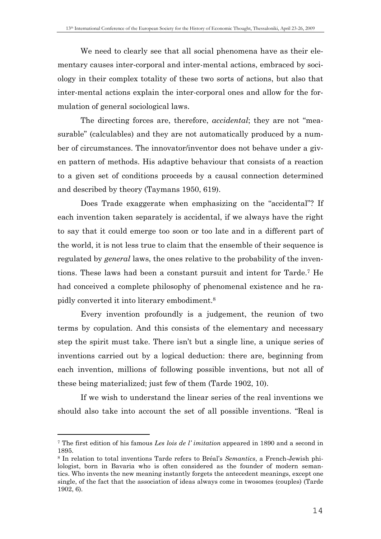We need to clearly see that all social phenomena have as their elementary causes inter-corporal and inter-mental actions, embraced by sociology in their complex totality of these two sorts of actions, but also that inter-mental actions explain the inter-corporal ones and allow for the formulation of general sociological laws.

The directing forces are, therefore, *accidental*; they are not "measurable" (calculables) and they are not automatically produced by a number of circumstances. The innovator/inventor does not behave under a given pattern of methods. His adaptive behaviour that consists of a reaction to a given set of conditions proceeds by a causal connection determined and described by theory (Taymans 1950, 619).

 Does Trade exaggerate when emphasizing on the "accidental"? If each invention taken separately is accidental, if we always have the right to say that it could emerge too soon or too late and in a different part of the world, it is not less true to claim that the ensemble of their sequence is regulated by *general* laws, the ones relative to the probability of the inventions. These laws had been a constant pursuit and intent for Tarde.7 He had conceived a complete philosophy of phenomenal existence and he rapidly converted it into literary embodiment.<sup>8</sup>

Every invention profoundly is a judgement, the reunion of two terms by copulation. And this consists of the elementary and necessary step the spirit must take. There isn't but a single line, a unique series of inventions carried out by a logical deduction: there are, beginning from each invention, millions of following possible inventions, but not all of these being materialized; just few of them (Tarde 1902, 10).

If we wish to understand the linear series of the real inventions we should also take into account the set of all possible inventions. "Real is

<sup>7</sup> The first edition of his famous *Les lois de l' imitation* appeared in 1890 and a second in 1895.

<sup>8</sup> In relation to total inventions Tarde refers to Bréal's *Semantics*, a French-Jewish philologist, born in Bavaria who is often considered as the founder of modern semantics. Who invents the new meaning instantly forgets the antecedent meanings, except one single, of the fact that the association of ideas always come in twosomes (couples) (Tarde 1902, 6).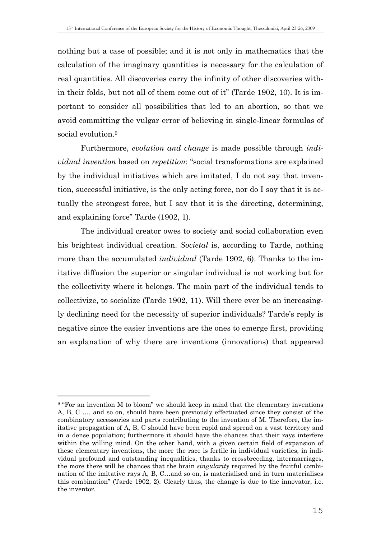nothing but a case of possible; and it is not only in mathematics that the calculation of the imaginary quantities is necessary for the calculation of real quantities. All discoveries carry the infinity of other discoveries within their folds, but not all of them come out of it" (Tarde 1902, 10). It is important to consider all possibilities that led to an abortion, so that we avoid committing the vulgar error of believing in single-linear formulas of social evolution.<sup>9</sup>

Furthermore, *evolution and change* is made possible through *individual invention* based on *repetition*: "social transformations are explained by the individual initiatives which are imitated, I do not say that invention, successful initiative, is the only acting force, nor do I say that it is actually the strongest force, but I say that it is the directing, determining, and explaining force" Tarde (1902, 1).

The individual creator owes to society and social collaboration even his brightest individual creation. *Societal* is, according to Tarde, nothing more than the accumulated *individual* (Tarde 1902, 6). Thanks to the imitative diffusion the superior or singular individual is not working but for the collectivity where it belongs. The main part of the individual tends to collectivize, to socialize (Tarde 1902, 11). Will there ever be an increasingly declining need for the necessity of superior individuals? Tarde's reply is negative since the easier inventions are the ones to emerge first, providing an explanation of why there are inventions (innovations) that appeared

<sup>&</sup>lt;sup>9</sup> "For an invention M to bloom" we should keep in mind that the elementary inventions A, B, C …, and so on, should have been previously effectuated since they consist of the combinatory accessories and parts contributing to the invention of M. Therefore, the imitative propagation of A, B, C should have been rapid and spread on a vast territory and in a dense population; furthermore it should have the chances that their rays interfere within the willing mind. On the other hand, with a given certain field of expansion of these elementary inventions, the more the race is fertile in individual varieties, in individual profound and outstanding inequalities, thanks to crossbreeding, intermarriages, the more there will be chances that the brain *singularity* required by the fruitful combination of the imitative rays A, B, C…and so on, is materialised and in turn materialises this combination" (Tarde 1902, 2). Clearly thus, the change is due to the innovator, i.e. the inventor.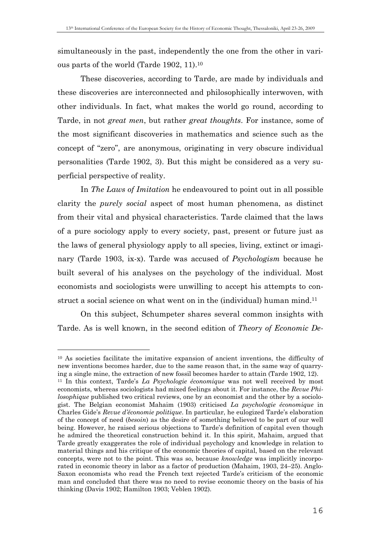simultaneously in the past, independently the one from the other in various parts of the world (Tarde 1902, 11).<sup>10</sup>

These discoveries, according to Tarde, are made by individuals and these discoveries are interconnected and philosophically interwoven, with other individuals. In fact, what makes the world go round, according to Tarde, in not *great men*, but rather *great thoughts*. For instance, some of the most significant discoveries in mathematics and science such as the concept of "zero", are anonymous, originating in very obscure individual personalities (Tarde 1902, 3). But this might be considered as a very superficial perspective of reality.

 In *The Laws of Imitation* he endeavoured to point out in all possible clarity the *purely social* aspect of most human phenomena, as distinct from their vital and physical characteristics. Tarde claimed that the laws of a pure sociology apply to every society, past, present or future just as the laws of general physiology apply to all species, living, extinct or imaginary (Tarde 1903, ix-x). Tarde was accused of *Psychologism* because he built several of his analyses on the psychology of the individual. Most economists and sociologists were unwilling to accept his attempts to construct a social science on what went on in the (individual) human mind.<sup>11</sup>

On this subject, Schumpeter shares several common insights with Tarde. As is well known, in the second edition of *Theory of Economic De-*

<sup>10</sup> As societies facilitate the imitative expansion of ancient inventions, the difficulty of new inventions becomes harder, due to the same reason that, in the same way of quarrying a single mine, the extraction of new fossil becomes harder to attain (Tarde 1902, 12). <sup>11</sup> In this context, Tarde's *La Psychologie économique* was not well received by most economists, whereas sociologists had mixed feelings about it. For instance, the *Revue Philosophique* published two critical reviews, one by an economist and the other by a sociologist. The Belgian economist Mahaim (1903) criticised *La psychologie économique* in Charles Gide's *Revue d'économie politique*. In particular, he eulogized Tarde's elaboration of the concept of need (*besoin*) as the desire of something believed to be part of our well being. However, he raised serious objections to Tarde's definition of capital even though he admired the theoretical construction behind it. In this spirit, Mahaim, argued that Tarde greatly exaggerates the role of individual psychology and knowledge in relation to material things and his critique of the economic theories of capital, based on the relevant concepts, were not to the point. This was so, because *knowledge* was implicitly incorporated in economic theory in labor as a factor of production (Mahaim, 1903, 24–25). Anglo-Saxon economists who read the French text rejected Tarde's criticism of the economic man and concluded that there was no need to revise economic theory on the basis of his thinking (Davis 1902; Hamilton 1903; Veblen 1902).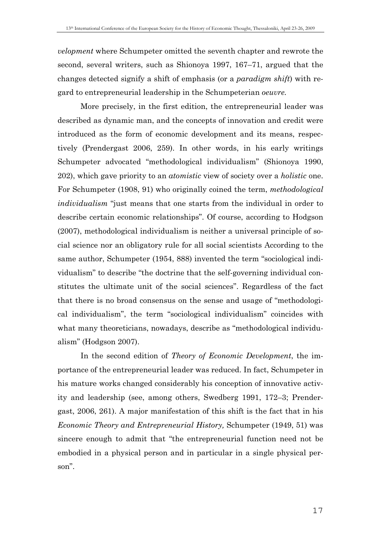*velopment* where Schumpeter omitted the seventh chapter and rewrote the second, several writers, such as Shionoya 1997, 167–71, argued that the changes detected signify a shift of emphasis (or a *paradigm shift*) with regard to entrepreneurial leadership in the Schumpeterian *oeuvre.*

More precisely, in the first edition, the entrepreneurial leader was described as dynamic man, and the concepts of innovation and credit were introduced as the form of economic development and its means, respectively (Prendergast 2006, 259). In other words, in his early writings Schumpeter advocated "methodological individualism" (Shionoya 1990, 202), which gave priority to an *atomistic* view of society over a *holistic* one. For Schumpeter (1908, 91) who originally coined the term, *methodological individualism* "just means that one starts from the individual in order to describe certain economic relationships". Of course, according to Hodgson (2007), methodological individualism is neither a universal principle of social science nor an obligatory rule for all social scientists According to the same author, Schumpeter (1954, 888) invented the term "sociological individualism" to describe "the doctrine that the self-governing individual constitutes the ultimate unit of the social sciences". Regardless of the fact that there is no broad consensus on the sense and usage of "methodological individualism", the term "sociological individualism" coincides with what many theoreticians, nowadays, describe as "methodological individualism" (Hodgson 2007).

In the second edition of *Theory of Economic Development*, the importance of the entrepreneurial leader was reduced. In fact, Schumpeter in his mature works changed considerably his conception of innovative activity and leadership (see, among others, Swedberg 1991, 172–3; Prendergast, 2006, 261). A major manifestation of this shift is the fact that in his *Economic Theory and Entrepreneurial History,* Schumpeter (1949, 51) was sincere enough to admit that "the entrepreneurial function need not be embodied in a physical person and in particular in a single physical person".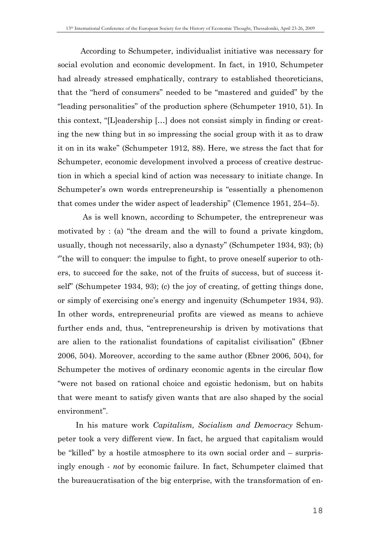According to Schumpeter, individualist initiative was necessary for social evolution and economic development. In fact, in 1910, Schumpeter had already stressed emphatically, contrary to established theoreticians, that the "herd of consumers" needed to be "mastered and guided" by the "leading personalities" of the production sphere (Schumpeter 1910, 51). In this context, "[L]eadership […] does not consist simply in finding or creating the new thing but in so impressing the social group with it as to draw it on in its wake" (Schumpeter 1912, 88). Here, we stress the fact that for Schumpeter, economic development involved a process of creative destruction in which a special kind of action was necessary to initiate change. In Schumpeter's own words entrepreneurship is "essentially a phenomenon that comes under the wider aspect of leadership" (Clemence 1951, 254–5).

 As is well known, according to Schumpeter, the entrepreneur was motivated by : (a) "the dream and the will to found a private kingdom, usually, though not necessarily, also a dynasty" (Schumpeter 1934, 93); (b) '"the will to conquer: the impulse to fight, to prove oneself superior to others, to succeed for the sake, not of the fruits of success, but of success itself" (Schumpeter 1934, 93); (c) the joy of creating, of getting things done, or simply of exercising one's energy and ingenuity (Schumpeter 1934, 93). In other words, entrepreneurial profits are viewed as means to achieve further ends and, thus, "entrepreneurship is driven by motivations that are alien to the rationalist foundations of capitalist civilisation" (Ebner 2006, 504). Moreover, according to the same author (Ebner 2006, 504), for Schumpeter the motives of ordinary economic agents in the circular flow "were not based on rational choice and egoistic hedonism, but on habits that were meant to satisfy given wants that are also shaped by the social environment".

In his mature work *Capitalism, Socialism and Democracy* Schumpeter took a very different view. In fact, he argued that capitalism would be "killed" by a hostile atmosphere to its own social order and – surprisingly enough - *not* by economic failure. In fact, Schumpeter claimed that the bureaucratisation of the big enterprise, with the transformation of en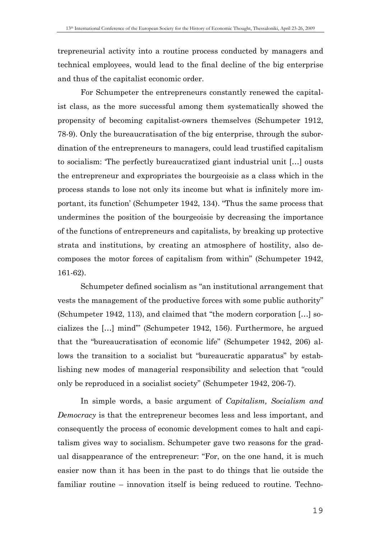trepreneurial activity into a routine process conducted by managers and technical employees, would lead to the final decline of the big enterprise and thus of the capitalist economic order.

For Schumpeter the entrepreneurs constantly renewed the capitalist class, as the more successful among them systematically showed the propensity of becoming capitalist-owners themselves (Schumpeter 1912, 78-9). Only the bureaucratisation of the big enterprise, through the subordination of the entrepreneurs to managers, could lead trustified capitalism to socialism: 'The perfectly bureaucratized giant industrial unit […] ousts the entrepreneur and expropriates the bourgeoisie as a class which in the process stands to lose not only its income but what is infinitely more important, its function' (Schumpeter 1942, 134). "Thus the same process that undermines the position of the bourgeoisie by decreasing the importance of the functions of entrepreneurs and capitalists, by breaking up protective strata and institutions, by creating an atmosphere of hostility, also decomposes the motor forces of capitalism from within" (Schumpeter 1942, 161-62).

Schumpeter defined socialism as "an institutional arrangement that vests the management of the productive forces with some public authority" (Schumpeter 1942, 113), and claimed that "the modern corporation […] socializes the […] mind"' (Schumpeter 1942, 156). Furthermore, he argued that the "bureaucratisation of economic life" (Schumpeter 1942, 206) allows the transition to a socialist but "bureaucratic apparatus" by establishing new modes of managerial responsibility and selection that "could only be reproduced in a socialist society" (Schumpeter 1942, 206-7).

In simple words, a basic argument of *Capitalism, Socialism and Democracy* is that the entrepreneur becomes less and less important, and consequently the process of economic development comes to halt and capitalism gives way to socialism. Schumpeter gave two reasons for the gradual disappearance of the entrepreneur: "For, on the one hand, it is much easier now than it has been in the past to do things that lie outside the familiar routine – innovation itself is being reduced to routine. Techno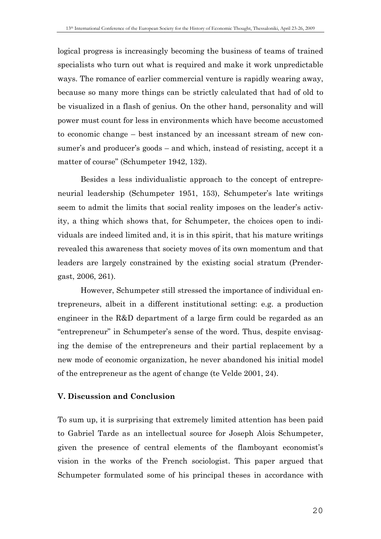logical progress is increasingly becoming the business of teams of trained specialists who turn out what is required and make it work unpredictable ways. The romance of earlier commercial venture is rapidly wearing away, because so many more things can be strictly calculated that had of old to be visualized in a flash of genius. On the other hand, personality and will power must count for less in environments which have become accustomed to economic change – best instanced by an incessant stream of new consumer's and producer's goods – and which, instead of resisting, accept it a matter of course" (Schumpeter 1942, 132).

Besides a less individualistic approach to the concept of entrepreneurial leadership (Schumpeter 1951, 153), Schumpeter's late writings seem to admit the limits that social reality imposes on the leader's activity, a thing which shows that, for Schumpeter, the choices open to individuals are indeed limited and, it is in this spirit, that his mature writings revealed this awareness that society moves of its own momentum and that leaders are largely constrained by the existing social stratum (Prendergast, 2006, 261).

However, Schumpeter still stressed the importance of individual entrepreneurs, albeit in a different institutional setting: e.g. a production engineer in the R&D department of a large firm could be regarded as an "entrepreneur" in Schumpeter's sense of the word. Thus, despite envisaging the demise of the entrepreneurs and their partial replacement by a new mode of economic organization, he never abandoned his initial model of the entrepreneur as the agent of change (te Velde 2001, 24).

### **V. Discussion and Conclusion**

To sum up, it is surprising that extremely limited attention has been paid to Gabriel Tarde as an intellectual source for Joseph Alois Schumpeter, given the presence of central elements of the flamboyant economist's vision in the works of the French sociologist. This paper argued that Schumpeter formulated some of his principal theses in accordance with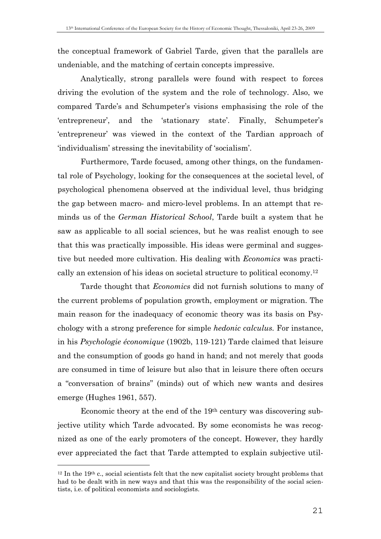the conceptual framework of Gabriel Tarde, given that the parallels are undeniable, and the matching of certain concepts impressive.

Analytically, strong parallels were found with respect to forces driving the evolution of the system and the role of technology. Also, we compared Tarde's and Schumpeter's visions emphasising the role of the 'entrepreneur', and the 'stationary state'. Finally, Schumpeter's 'entrepreneur' was viewed in the context of the Tardian approach of 'individualism' stressing the inevitability of 'socialism'.

Furthermore, Tarde focused, among other things, on the fundamental role of Psychology, looking for the consequences at the societal level, of psychological phenomena observed at the individual level, thus bridging the gap between macro- and micro-level problems. In an attempt that reminds us of the *German Historical School*, Tarde built a system that he saw as applicable to all social sciences, but he was realist enough to see that this was practically impossible. His ideas were germinal and suggestive but needed more cultivation. His dealing with *Economics* was practically an extension of his ideas on societal structure to political economy.<sup>12</sup>

Tarde thought that *Economics* did not furnish solutions to many of the current problems of population growth, employment or migration. The main reason for the inadequacy of economic theory was its basis on Psychology with a strong preference for simple *hedonic calculus.* For instance, in his *Psychologie économique* (1902b, 119-121) Tarde claimed that leisure and the consumption of goods go hand in hand; and not merely that goods are consumed in time of leisure but also that in leisure there often occurs a "conversation of brains" (minds) out of which new wants and desires emerge (Hughes 1961, 557).

Economic theory at the end of the 19th century was discovering subjective utility which Tarde advocated. By some economists he was recognized as one of the early promoters of the concept. However, they hardly ever appreciated the fact that Tarde attempted to explain subjective util-

 $12$  In the 19<sup>th</sup> c., social scientists felt that the new capitalist society brought problems that had to be dealt with in new ways and that this was the responsibility of the social scientists, i.e. of political economists and sociologists.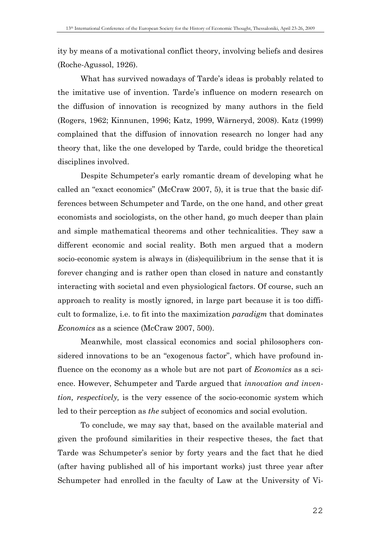ity by means of a motivational conflict theory, involving beliefs and desires (Roche-Agussol, 1926).

What has survived nowadays of Tarde's ideas is probably related to the imitative use of invention. Tarde's influence on modern research on the diffusion of innovation is recognized by many authors in the field (Rogers, 1962; Kinnunen, 1996; Katz, 1999, Wärneryd, 2008). Katz (1999) complained that the diffusion of innovation research no longer had any theory that, like the one developed by Tarde, could bridge the theoretical disciplines involved.

Despite Schumpeter's early romantic dream of developing what he called an "exact economics" (McCraw 2007, 5), it is true that the basic differences between Schumpeter and Tarde, on the one hand, and other great economists and sociologists, on the other hand, go much deeper than plain and simple mathematical theorems and other technicalities. They saw a different economic and social reality. Both men argued that a modern socio-economic system is always in (dis)equilibrium in the sense that it is forever changing and is rather open than closed in nature and constantly interacting with societal and even physiological factors. Of course, such an approach to reality is mostly ignored, in large part because it is too difficult to formalize, i.e. to fit into the maximization *paradigm* that dominates *Economics* as a science (McCraw 2007, 500).

Meanwhile, most classical economics and social philosophers considered innovations to be an "exogenous factor", which have profound influence on the economy as a whole but are not part of *Economics* as a science. However, Schumpeter and Tarde argued that *innovation and invention, respectively,* is the very essence of the socio-economic system which led to their perception as *the* subject of economics and social evolution.

To conclude, we may say that, based on the available material and given the profound similarities in their respective theses, the fact that Tarde was Schumpeter's senior by forty years and the fact that he died (after having published all of his important works) just three year after Schumpeter had enrolled in the faculty of Law at the University of Vi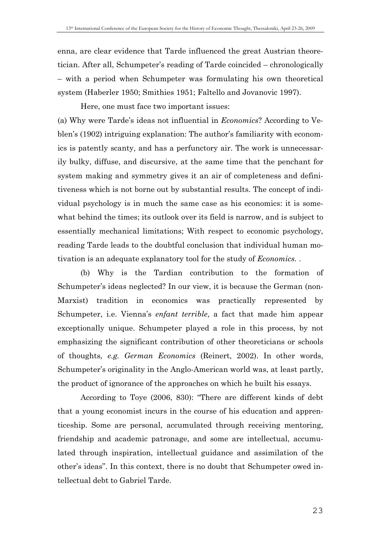enna, are clear evidence that Tarde influenced the great Austrian theoretician. After all, Schumpeter's reading of Tarde coincided – chronologically – with a period when Schumpeter was formulating his own theoretical system (Haberler 1950; Smithies 1951; Faltello and Jovanovic 1997).

Here, one must face two important issues:

(a) Why were Tarde's ideas not influential in *Economics*? According to Veblen's (1902) intriguing explanation: The author's familiarity with economics is patently scanty, and has a perfunctory air. The work is unnecessarily bulky, diffuse, and discursive, at the same time that the penchant for system making and symmetry gives it an air of completeness and definitiveness which is not borne out by substantial results. The concept of individual psychology is in much the same case as his economics: it is somewhat behind the times; its outlook over its field is narrow, and is subject to essentially mechanical limitations; With respect to economic psychology, reading Tarde leads to the doubtful conclusion that individual human motivation is an adequate explanatory tool for the study of *Economics.* .

(b) Why is the Tardian contribution to the formation of Schumpeter's ideas neglected? In our view, it is because the German (non-Marxist) tradition in economics was practically represented by Schumpeter, i.e. Vienna's *enfant terrible*, a fact that made him appear exceptionally unique. Schumpeter played a role in this process, by not emphasizing the significant contribution of other theoreticians or schools of thoughts*, e.g. German Economics* (Reinert, 2002). In other words, Schumpeter's originality in the Anglo-American world was, at least partly, the product of ignorance of the approaches on which he built his essays.

According to Toye (2006, 830): "There are different kinds of debt that a young economist incurs in the course of his education and apprenticeship. Some are personal, accumulated through receiving mentoring, friendship and academic patronage, and some are intellectual, accumulated through inspiration, intellectual guidance and assimilation of the other's ideas". In this context, there is no doubt that Schumpeter owed intellectual debt to Gabriel Tarde.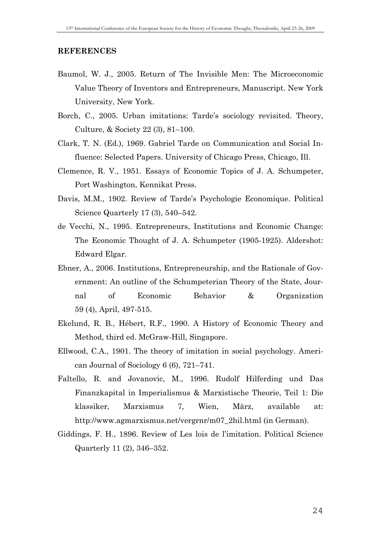#### **REFERENCES**

- Baumol, W. J., 2005. Return of The Invisible Men: The Microeconomic Value Theory of Inventors and Entrepreneurs, Manuscript. New York University, New York.
- Borch, C., 2005. Urban imitations: Tarde's sociology revisited. Theory, Culture, & Society 22 (3), 81–100.
- Clark, T. N. (Ed.), 1969. Gabriel Tarde on Communication and Social Influence: Selected Papers. University of Chicago Press, Chicago, Ill.
- Clemence, R. V., 1951. Essays of Economic Topics of J. A. Schumpeter, Port Washington, Kennikat Press.
- Davis, M.M., 1902. Review of Tarde's Psychologie Economique. Political Science Quarterly 17 (3), 540–542.
- de Vecchi, N., 1995. Entrepreneurs, Institutions and Economic Change: The Economic Thought of J. A. Schumpeter (1905-1925). Aldershot: Edward Elgar.
- Ebner, A., 2006. Institutions, Entrepreneurship, and the Rationale of Government: An outline of the Schumpeterian Theory of the State, Journal of Economic Behavior & Organization 59 (4), April, 497-515.
- Ekelund, R. B., Hébert, R.F., 1990. A History of Economic Theory and Method, third ed. McGraw-Hill, Singapore.
- Ellwood, C.A., 1901. The theory of imitation in social psychology. American Journal of Sociology 6 (6), 721–741.
- Faltello, R. and Jovanovic, M., 1996. Rudolf Hilferding und Das Finanzkapital in Imperialismus & Marxistische Theorie, Teil 1: Die klassiker, Marxismus 7, Wien, März, available at: http://www.agmarxismus.net/vergrnr/m07 2hil.html (in German).
- Giddings, F. H., 1896. Review of Les lois de l'imitation. Political Science Quarterly 11 (2), 346–352.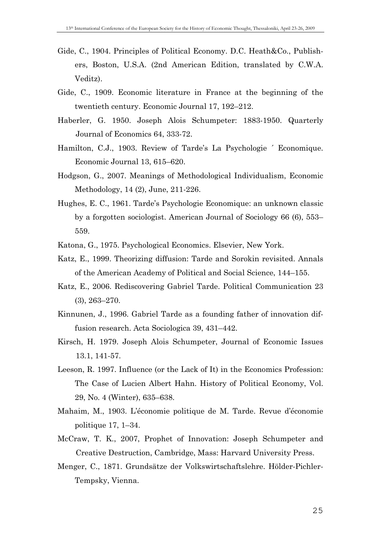- Gide, C., 1904. Principles of Political Economy. D.C. Heath&Co., Publishers, Boston, U.S.A. (2nd American Edition, translated by C.W.A. Veditz).
- Gide, C., 1909. Economic literature in France at the beginning of the twentieth century. Economic Journal 17, 192–212.
- Haberler, G. 1950. Joseph Alois Schumpeter: 1883-1950. Quarterly Journal of Economics 64, 333-72.
- Hamilton, C.J., 1903. Review of Tarde's La Psychologie ´ Economique. Economic Journal 13, 615–620.
- Hodgson, G., 2007. Meanings of Methodological Individualism, Economic Methodology, 14 (2), June, 211-226.
- Hughes, E. C., 1961. Tarde's Psychologie Economique: an unknown classic by a forgotten sociologist. American Journal of Sociology 66 (6), 553– 559.
- Katona, G., 1975. Psychological Economics. Elsevier, New York.
- Katz, E., 1999. Theorizing diffusion: Tarde and Sorokin revisited. Annals of the American Academy of Political and Social Science, 144–155.
- Katz, E., 2006. Rediscovering Gabriel Tarde. Political Communication 23 (3), 263–270.
- Kinnunen, J., 1996. Gabriel Tarde as a founding father of innovation diffusion research. Acta Sociologica 39, 431–442.
- Kirsch, H. 1979. Joseph Alois Schumpeter, Journal of Economic Issues 13.1, 141-57.
- Leeson, R. 1997. Influence (or the Lack of It) in the Economics Profession: The Case of Lucien Albert Hahn. History of Political Economy, Vol. 29, No. 4 (Winter), 635–638.
- Mahaim, M., 1903. L'économie politique de M. Tarde. Revue d'économie politique 17, 1–34.
- McCraw, T. K., 2007, Prophet of Innovation: Joseph Schumpeter and Creative Destruction, Cambridge, Mass: Harvard University Press.
- Menger, C., 1871. Grundsätze der Volkswirtschaftslehre. Hölder-Pichler-Tempsky, Vienna.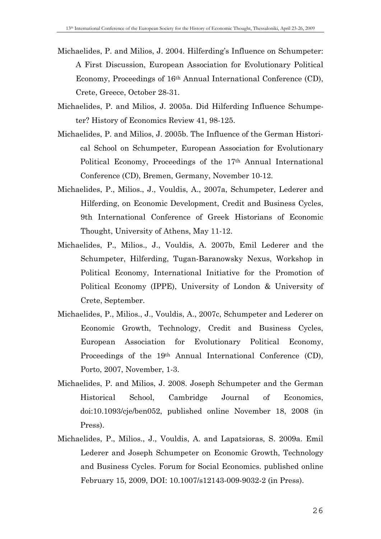- Michaelides, P. and Milios, J. 2004. Hilferding's Influence on Schumpeter: A First Discussion, European Association for Evolutionary Political Economy, Proceedings of 16th Annual International Conference (CD), Crete, Greece, October 28-31.
- Michaelides, P. and Milios, J. 2005a. Did Hilferding Influence Schumpeter? History of Economics Review 41, 98-125.
- Michaelides, P. and Milios, J. 2005b. The Influence of the German Historical School on Schumpeter, European Association for Evolutionary Political Economy, Proceedings of the 17th Annual International Conference (CD), Bremen, Germany, November 10-12.
- Michaelides, P., Milios., J., Vouldis, A., 2007a, Schumpeter, Lederer and Hilferding, on Economic Development, Credit and Business Cycles, 9th International Conference of Greek Historians of Economic Thought, University of Athens, May 11-12.
- Michaelides, P., Milios., J., Vouldis, A. 2007b, Emil Lederer and the Schumpeter, Hilferding, Tugan-Baranowsky Nexus, Workshop in Political Economy, International Initiative for the Promotion of Political Economy (IPPE), University of London & University of Crete, September.
- Michaelides, P., Milios., J., Vouldis, A., 2007c, Schumpeter and Lederer on Economic Growth, Technology, Credit and Business Cycles, European Association for Evolutionary Political Economy, Proceedings of the 19th Annual International Conference (CD), Porto, 2007, November, 1-3.
- Michaelides, P. and Milios, J. 2008. Joseph Schumpeter and the German Historical School, Cambridge Journal of Economics, doi:10.1093/cje/ben052, published online November 18, 2008 (in Press).
- Michaelides, P., Milios., J., Vouldis, A. and Lapatsioras, S. 2009a. Emil Lederer and Joseph Schumpeter on Economic Growth, Technology and Business Cycles. Forum for Social Economics. published online February 15, 2009, DOI: 10.1007/s12143-009-9032-2 (in Press).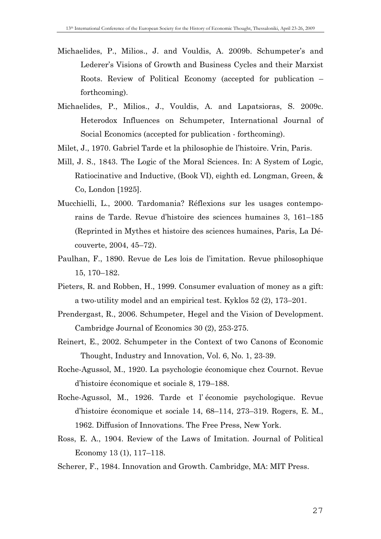- Michaelides, P., Milios., J. and Vouldis, A. 2009b. Schumpeter's and Lederer's Visions of Growth and Business Cycles and their Marxist Roots. Review of Political Economy (accepted for publication – forthcoming).
- Michaelides, P., Milios., J., Vouldis, A. and Lapatsioras, S. 2009c. Heterodox Influences on Schumpeter, International Journal of Social Economics (accepted for publication - forthcoming).
- Milet, J., 1970. Gabriel Tarde et la philosophie de l'histoire. Vrin, Paris.
- Mill, J. S., 1843. The Logic of the Moral Sciences. In: A System of Logic, Ratiocinative and Inductive, (Book VI), eighth ed. Longman, Green, & Co, London [1925].
- Mucchielli, L., 2000. Tardomania? Réflexions sur les usages contemporains de Tarde. Revue d'histoire des sciences humaines 3, 161–185 (Reprinted in Mythes et histoire des sciences humaines, Paris, La Découverte, 2004, 45–72).
- Paulhan, F., 1890. Revue de Les lois de l'imitation. Revue philosophique 15, 170–182.
- Pieters, R. and Robben, H., 1999. Consumer evaluation of money as a gift: a two-utility model and an empirical test. Kyklos 52 (2), 173–201.
- Prendergast, R., 2006. Schumpeter, Hegel and the Vision of Development. Cambridge Journal of Economics 30 (2), 253-275.
- Reinert, E., 2002. Schumpeter in the Context of two Canons of Economic Thought, Industry and Innovation, Vol. 6, No. 1, 23-39.
- Roche-Agussol, M., 1920. La psychologie économique chez Cournot. Revue d'histoire économique et sociale 8, 179–188.
- Roche-Agussol, M., 1926. Tarde et l' économie psychologique. Revue d'histoire économique et sociale 14, 68–114, 273–319. Rogers, E. M., 1962. Diffusion of Innovations. The Free Press, New York.
- Ross, E. A., 1904. Review of the Laws of Imitation. Journal of Political Economy 13 (1), 117–118.
- Scherer, F., 1984. Innovation and Growth. Cambridge, MA: MIT Press.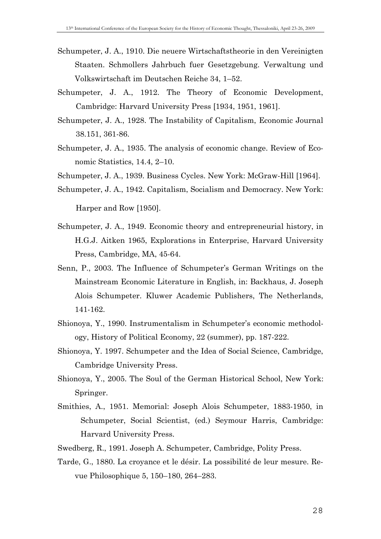- Schumpeter, J. A., 1910. Die neuere Wirtschaftstheorie in den Vereinigten Staaten. Schmollers Jahrbuch fuer Gesetzgebung. Verwaltung und Volkswirtschaft im Deutschen Reiche 34, 1–52.
- Schumpeter, J. A., 1912. The Theory of Economic Development, Cambridge: Harvard University Press [1934, 1951, 1961].
- Schumpeter, J. A., 1928. The Instability of Capitalism, Economic Journal 38.151, 361-86.
- Schumpeter, J. A., 1935. The analysis of economic change. Review of Economic Statistics, 14.4, 2–10.

Schumpeter, J. A., 1939. Business Cycles. New York: McGraw-Hill [1964].

- Schumpeter, J. A., 1942. Capitalism, Socialism and Democracy. New York: Harper and Row [1950].
- Schumpeter, J. A., 1949. Economic theory and entrepreneurial history, in H.G.J. Aitken 1965, Explorations in Enterprise, Harvard University Press, Cambridge, MA, 45-64.
- Senn, P., 2003. The Influence of Schumpeter's German Writings on the Mainstream Economic Literature in English, in: Backhaus, J. Joseph Alois Schumpeter. Kluwer Academic Publishers, The Netherlands, 141-162.
- Shionoya, Y., 1990. Instrumentalism in Schumpeter's economic methodology, History of Political Economy, 22 (summer), pp. 187-222.
- Shionoya, Y. 1997. Schumpeter and the Idea of Social Science, Cambridge, Cambridge University Press.
- Shionoya, Y., 2005. The Soul of the German Historical School, New York: Springer.
- Smithies, A., 1951. Memorial: Joseph Alois Schumpeter, 1883-1950, in Schumpeter, Social Scientist, (ed.) Seymour Harris, Cambridge: Harvard University Press.
- Swedberg, R., 1991. Joseph A. Schumpeter, Cambridge, Polity Press.
- Tarde, G., 1880. La croyance et le désir. La possibilité de leur mesure. Revue Philosophique 5, 150–180, 264–283.